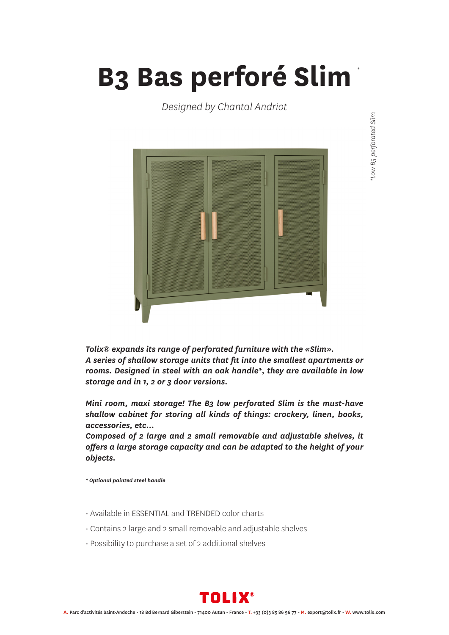## **B3 Bas perforé Slim** *\**

*Designed by Chantal Andriot*



*Tolix® expands its range of perforated furniture with the «Slim». A series of shallow storage units that fit into the smallest apartments or rooms. Designed in steel with an oak handle\*, they are available in low storage and in 1, 2 or 3 door versions.*

*Mini room, maxi storage! The B3 low perforated Slim is the must-have shallow cabinet for storing all kinds of things: crockery, linen, books, accessories, etc...*

*Composed of 2 large and 2 small removable and adjustable shelves, it offers a large storage capacity and can be adapted to the height of your objects.*

*\* Optional painted steel handle*

- Available in ESSENTIAL and TRENDED color charts
- Contains 2 large and 2 small removable and adjustable shelves
- Possibility to purchase a set of 2 additional shelves